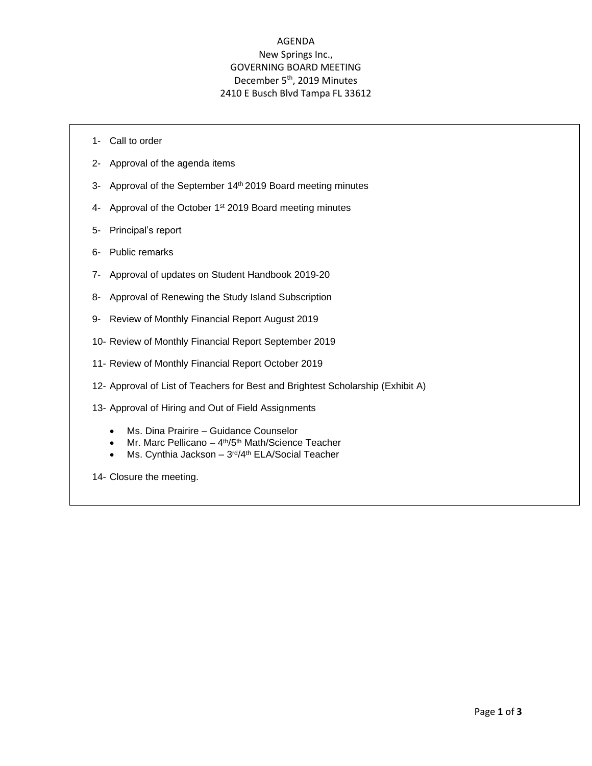# AGENDA New Springs Inc., GOVERNING BOARD MEETING December 5<sup>th</sup>, 2019 Minutes 2410 E Busch Blvd Tampa FL 33612

- 1- Call to order
- 2- Approval of the agenda items
- 3- Approval of the September 14th 2019 Board meeting minutes
- 4- Approval of the October 1<sup>st</sup> 2019 Board meeting minutes
- 5- Principal's report
- 6- Public remarks
- 7- Approval of updates on Student Handbook 2019-20
- 8- Approval of Renewing the Study Island Subscription
- 9- Review of Monthly Financial Report August 2019
- 10- Review of Monthly Financial Report September 2019
- 11- Review of Monthly Financial Report October 2019
- 12- Approval of List of Teachers for Best and Brightest Scholarship (Exhibit A)
- 13- Approval of Hiring and Out of Field Assignments
	- Ms. Dina Prairire Guidance Counselor
	- Mr. Marc Pellicano 4<sup>th</sup>/5<sup>th</sup> Math/Science Teacher
	- Ms. Cynthia Jackson 3<sup>rd</sup>/4<sup>th</sup> ELA/Social Teacher
- 14- Closure the meeting.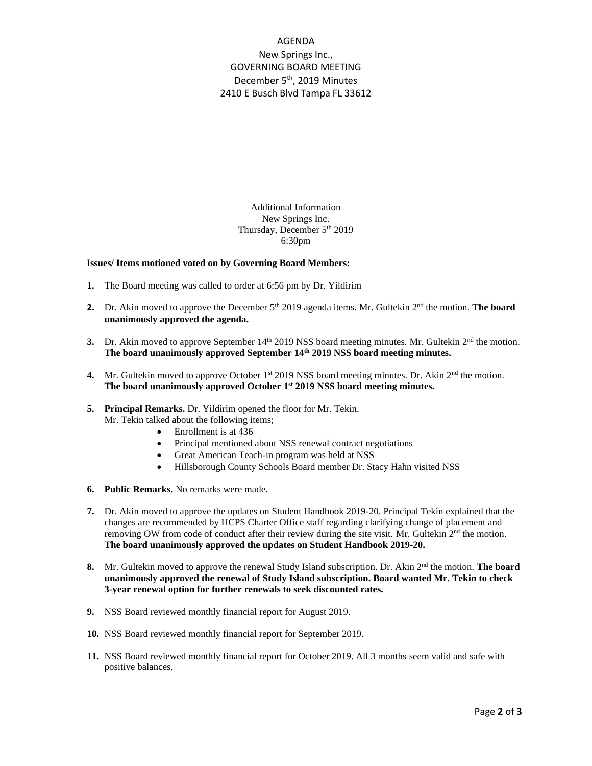# AGENDA New Springs Inc., GOVERNING BOARD MEETING December 5<sup>th</sup>, 2019 Minutes 2410 E Busch Blvd Tampa FL 33612

Additional Information New Springs Inc. Thursday, December 5<sup>th</sup> 2019 6:30pm

### **Issues/ Items motioned voted on by Governing Board Members:**

- **1.** The Board meeting was called to order at 6:56 pm by Dr. Yildirim
- **2.** Dr. Akin moved to approve the December 5<sup>th</sup> 2019 agenda items. Mr. Gultekin 2<sup>nd</sup> the motion. **The board unanimously approved the agenda.**
- **3.** Dr. Akin moved to approve September  $14<sup>th</sup>$  2019 NSS board meeting minutes. Mr. Gultekin  $2<sup>nd</sup>$  the motion. **The board unanimously approved September 14th 2019 NSS board meeting minutes.**
- **4.** Mr. Gultekin moved to approve October 1<sup>st</sup> 2019 NSS board meeting minutes. Dr. Akin 2<sup>nd</sup> the motion. **The board unanimously approved October 1 st 2019 NSS board meeting minutes.**

### **5. Principal Remarks.** Dr. Yildirim opened the floor for Mr. Tekin. Mr. Tekin talked about the following items;

- Enrollment is at 436
- Principal mentioned about NSS renewal contract negotiations
- Great American Teach-in program was held at NSS
- Hillsborough County Schools Board member Dr. Stacy Hahn visited NSS
- **6. Public Remarks.** No remarks were made.
- **7.** Dr. Akin moved to approve the updates on Student Handbook 2019-20. Principal Tekin explained that the changes are recommended by HCPS Charter Office staff regarding clarifying change of placement and removing OW from code of conduct after their review during the site visit. Mr. Gultekin  $2<sup>nd</sup>$  the motion. **The board unanimously approved the updates on Student Handbook 2019-20.**
- **8.** Mr. Gultekin moved to approve the renewal Study Island subscription. Dr. Akin 2<sup>nd</sup> the motion. **The board unanimously approved the renewal of Study Island subscription. Board wanted Mr. Tekin to check 3-year renewal option for further renewals to seek discounted rates.**
- **9.** NSS Board reviewed monthly financial report for August 2019.
- **10.** NSS Board reviewed monthly financial report for September 2019.
- **11.** NSS Board reviewed monthly financial report for October 2019. All 3 months seem valid and safe with positive balances.